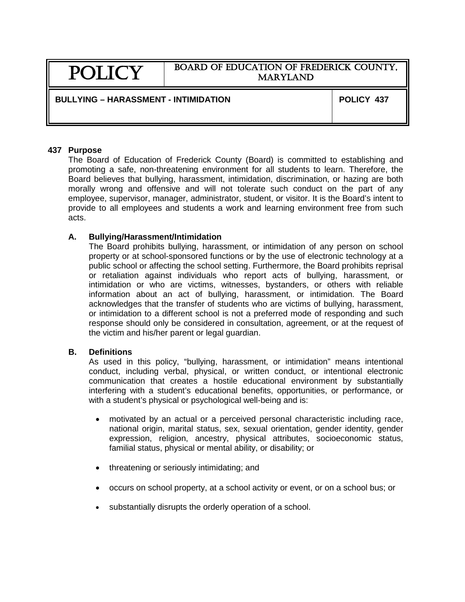# POLICY

# BOARD OF EDUCATION OF FREDERICK COUNTY, MARYLAND

# **BULLYING – HARASSMENT - INTIMIDATION POLICY 437**

#### **437 Purpose**

The Board of Education of Frederick County (Board) is committed to establishing and promoting a safe, non-threatening environment for all students to learn. Therefore, the Board believes that bullying, harassment, intimidation, discrimination, or hazing are both morally wrong and offensive and will not tolerate such conduct on the part of any employee, supervisor, manager, administrator, student, or visitor. It is the Board's intent to provide to all employees and students a work and learning environment free from such acts.

#### **A. Bullying/Harassment/Intimidation**

The Board prohibits bullying, harassment, or intimidation of any person on school property or at school-sponsored functions or by the use of electronic technology at a public school or affecting the school setting. Furthermore, the Board prohibits reprisal or retaliation against individuals who report acts of bullying, harassment, or intimidation or who are victims, witnesses, bystanders, or others with reliable information about an act of bullying, harassment, or intimidation. The Board acknowledges that the transfer of students who are victims of bullying, harassment, or intimidation to a different school is not a preferred mode of responding and such response should only be considered in consultation, agreement, or at the request of the victim and his/her parent or legal guardian.

# **B. Definitions**

As used in this policy, "bullying, harassment, or intimidation" means intentional conduct, including verbal, physical, or written conduct, or intentional electronic communication that creates a hostile educational environment by substantially interfering with a student's educational benefits, opportunities, or performance, or with a student's physical or psychological well-being and is:

- motivated by an actual or a perceived personal characteristic including race, national origin, marital status, sex, sexual orientation, gender identity, gender expression, religion, ancestry, physical attributes, socioeconomic status, familial status, physical or mental ability, or disability; or
- threatening or seriously intimidating; and
- occurs on school property, at a school activity or event, or on a school bus; or
- substantially disrupts the orderly operation of a school.